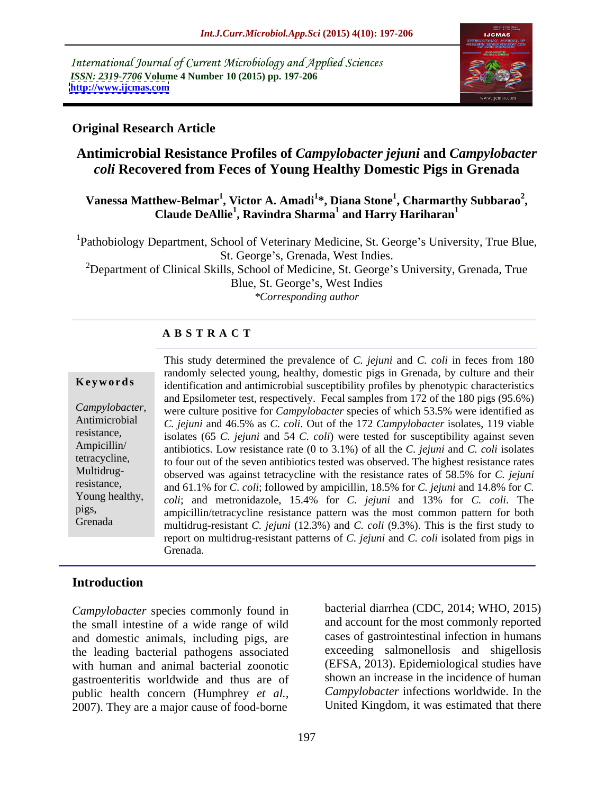International Journal of Current Microbiology and Applied Sciences *ISSN: 2319-7706* **Volume 4 Number 10 (2015) pp. 197-206 <http://www.ijcmas.com>**



### **Original Research Article**

# **Antimicrobial Resistance Profiles of** *Campylobacter jejuni* **and** *Campylobacter coli* **Recovered from Feces of Young Healthy Domestic Pigs in Grenada**

### **Vanessa Matthew-Belmar<sup>1</sup> , Victor A. Amadi<sup>1</sup> \*, Diana Stone<sup>1</sup> , Charmarthy Subbarao<sup>2</sup> , Claude DeAllie1 , Ravindra Sharma<sup>1</sup> and Harry Hariharan<sup>1</sup>**

<sup>1</sup>Pathobiology Department, School of Veterinary Medicine, St. George's University, True Blue, St. George's, Grenada, West Indies.<br><sup>2</sup>Department of Clinical Skills, School of Medicine, St. George's University, Grenada, True

Blue, St. George's, West Indies *\*Corresponding author*

### **A B S T R A C T**

Multidrug-Grenada

This study determined the prevalence of *C. jejuni* and *C. coli* in feces from 180 randomly selected young, healthy, domestic pigs in Grenada, by culture and their **Keywords** identification and antimicrobial susceptibility profiles by phenotypic characteristics and Epsilometer test, respectively. Fecal samples from 172 of the 180 pigs (95.6%) *Campylobacter*, were culture positive for *Campylobacter* species of which 53.5% were identified as<br>Antimicrobial *C ieiuni* and 46.5% as *C coli* Out of the 172 *Campylobacter* isolates 119 viable *C. jejuni* and 46.5% as *C. coli*. Out of the 172 *Campylobacter* isolates, 119 viable resistance, isolates (65 *C. jejuni* and 54 *C. coli*) were tested for susceptibility against seven antibiotics. Low resistance rate (0 to 3.1%) of all the *C. jejuni* and *C. coli* isolates Ampicillin/ tetracycline, to four out of the seven antibiotics tested was observed. The highest resistance rates observed was against tetracycline with the resistance rates of 58.5% for *C. jejuni* and 61.1% for *C. coli*; followed by ampicillin, 18.5% for *C. jejuni* and 14.8% for *C.*  resistance, *coli*; and metronidazole, 15.4% for *C. jejuni* and 13% for *C. coli*. The Young healthy, ampicillin/tetracycline resistance pattern was the most common pattern for both pigs, multidrug-resistant *C. jejuni* (12.3%) and *C. coli* (9.3%). This is the first study to report on multidrug-resistant patterns of *C. jejuni* and *C. coli* isolated from pigs in Grenada.

### **Introduction**

*Campylobacter* species commonly found in the small intestine of a wide range of wild and domestic animals, including pigs, are the leading bacterial pathogens associated with human and animal bacterial zoonotic gastroenteritis worldwide and thus are of public health concern (Humphrey *et al.,* 2007). They are a major cause of food-borne

bacterial diarrhea (CDC, 2014; WHO, 2015) and account for the most commonly reported cases of gastrointestinal infection in humans exceeding salmonellosis and shigellosis (EFSA, 2013). Epidemiological studies have shown an increase in the incidence of human *Campylobacter* infections worldwide. In the United Kingdom, it was estimated that there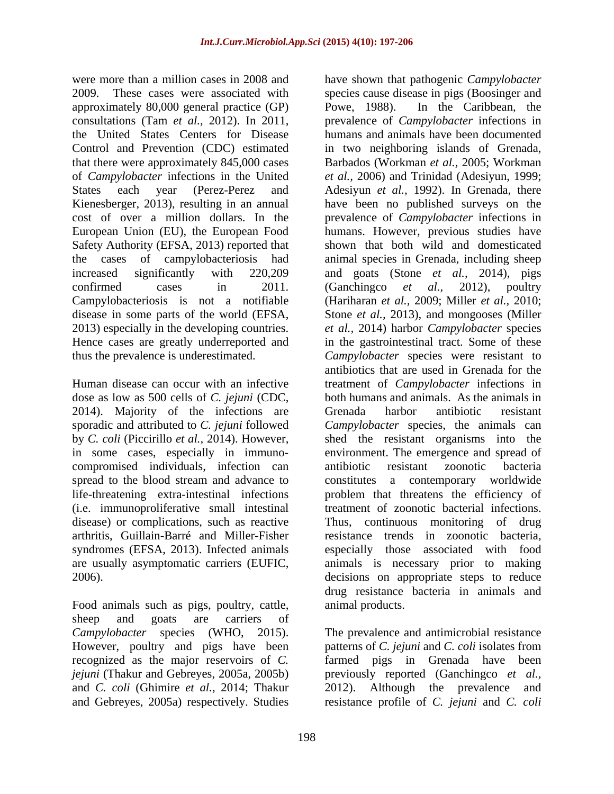were more than a million cases in 2008 and have shown that pathogenic *Campylobacter*  approximately 80,000 general practice (GP) cost of over a million dollars. In the Safety Authority (EFSA, 2013) reported that 2013) especially in the developing countries.

dose as low as 500 cells of *C. jejuni* (CDC, 2014). Majority of the infections are Grenada harbor antibiotic resistant compromised individuals, infection can (i.e. immunoproliferative small intestinal disease) or complications, such as reactive Thus, continuous monitoring of drug syndromes (EFSA, 2013). Infected animals

sheep and goats are carriers of *Campylobacter* species (WHO, 2015). The prevalence and antimicrobial resistance However, poultry and pigs have been patterns of *C. jejuni* and *C. coli* isolates from recognized as the major reservoirs of *C. jejuni* (Thakur and Gebreyes, 2005a, 2005b) previously reported (Ganchingco *et al.,* and *C. coli* (Ghimire *et al.,* 2014; Thakur and Gebreyes, 2005a) respectively. Studies resistance profile of *C. jejuni* and *C. coli*

2009. These cases were associated with species cause disease in pigs (Boosinger and consultations (Tam *et al.,* 2012).In 2011, prevalence of *Campylobacter* infections in the United States Centers for Disease humans and animals have been documented Control and Prevention (CDC) estimated in two neighboring islands of Grenada, that there were approximately 845,000 cases Barbados (Workman *et al.,* 2005; Workman of *Campylobacter* infections in the United *et al.,* 2006) and Trinidad (Adesiyun, 1999; States each year (Perez-Perez and Adesiyun *et al.,* 1992). In Grenada, there Kienesberger, 2013), resulting in an annual have been no published surveys on the European Union (EU), the European Food humans. However, previous studies have the cases of campylobacteriosis had animal species in Grenada, including sheep increased significantly with 220,209 and goats (Stone *et al.,* 2014), pigs confirmed cases in 2011. (Ganchingco *et al.*, 2012), poultry Campylobacteriosis is not a notifiable (Hariharan *et al.,* 2009; Miller *et al.,* 2010; disease in some parts of the world (EFSA, Stone *et al.,* 2013), and mongooses (Miller Hence cases are greatly underreported and in the gastrointestinal tract. Some of these thus the prevalence is underestimated. *Campylobacter* species were resistant to Human disease can occur with an infective treatment of *Campylobacter* infections in sporadic and attributed to *C. jejuni* followed *Campylobacter* species, the animals can by *C. coli* (Piccirillo *et al.,* 2014). However, shed the resistant organismsinto the in some cases, especially in immuno- environment. The emergence and spread of spread to the blood stream and advance to constitutes a contemporary worldwide life-threatening extra-intestinal infections problem that threatens the efficiency of arthritis, Guillain-Barré and Miller-Fisher resistance trends in zoonotic bacteria, are usually asymptomatic carriers (EUFIC, animals is necessary prior to making 2006).<br>
2006). decisions on appropriate steps to reduce<br>
Food animals such as pigs, poultry, cattle, animal products. In the Caribbean, the prevalence of *Campylobacter* infections in shown that both wild and domesticated (Ganchingco *et al.,* 2012), poultry *et al.,* 2014) harbor *Campylobacter* species antibiotics that are used in Grenada for the both humans and animals. As the animals in Grenada harbor antibiotic resistant antibiotic resistant zoonotic bacteria treatment of zoonotic bacterial infections.Thus, continuous monitoring of drug especially those associated with food decisions on appropriate steps to reduce drug resistance bacteria in animals and animal products.

> The prevalence and antimicrobial resistance patterns of *C. jejuni* and *C. coli* isolates from farmed pigs in Grenada have been 2012). Although the prevalence and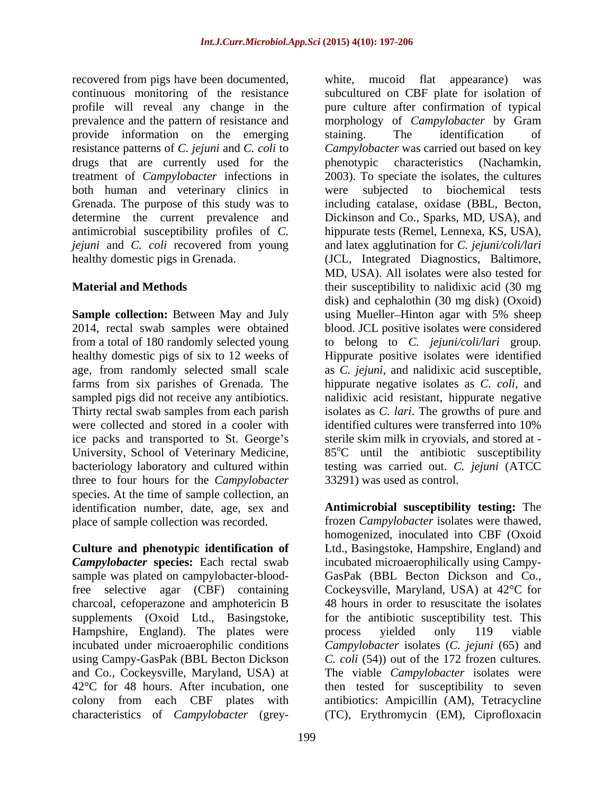recovered from pigs have been documented, white, mucoid flat appearance) was provide information on the emerging staining. The identification of resistance patterns of *C. jejuni* and *C. coli* to drugs that are currently used for the phenotypic characteristics (Nachamkin, both human and veterinary clinics in were subjected to biochemical tests

were collected and stored in a cooler with identified cultures were transferred into 10% University, School of Veterinary Medicine, three to four hours for the *Campylobacter*  species. At the time of sample collection, an identification number, date, age, sex and place of sample collection was recorded.

**Culture and phenotypic identification of** Ltd., Basingstoke, Hampshire, England) and *Campylobacter* **species:** Each rectal swab incubated microaerophilically using Campy sample was plated on campylobacter-blood-GasPak (BBL Becton Dickson and Co., free selective agar (CBF) containing Cockeysville, Maryland, USA) at 42°C for charcoal, cefoperazone and amphotericin B supplements (Oxoid Ltd., Basingstoke, for the antibiotic susceptibility test. This Hampshire, England). The plates were process yielded only 119 viable incubated under microaerophilic conditions Campylobacter isolates (C. *jejuni* (65) and using Campy-GasPak (BBL Becton Dickson *C. coli* (54)) out of the 172 frozen cultures. and Co., Cockeysville, Maryland, USA) at The viable *Campylobacter* isolates were 42°C for 48 hours. After incubation, one then tested for susceptibility to seven colony from each CBF plates with antibiotics: Ampicillin (AM), Tetracycline

continuous monitoring of the resistance subcultured on CBF plate for isolation of profile will reveal any change in the pure culture after confirmation of typical prevalence and the pattern of resistance and morphology of *Campylobacter* by Gram treatment of *Campylobacter* infections in 2003). To speciate the isolates, the cultures Grenada. The purpose of this study was to including catalase, oxidase (BBL, Becton, determine the current prevalence and Dickinson and Co., Sparks, MD, USA), and antimicrobial susceptibility profiles of *C.*  hippurate tests (Remel, Lennexa, KS, USA), *jejuni* and *C. coli* recovered from young and latex agglutination for *C. jejuni/coli/lari* healthy domestic pigs in Grenada. (JCL, Integrated Diagnostics, Baltimore, **Material and Methods their** susceptibility to nalidixic acid (30 mg) **Sample collection:** Between May and July using Mueller–Hinton agar with 5% sheep 2014, rectal swab samples were obtained blood. JCL positive isolates were considered from a total of 180 randomly selected young to belong to *C. jejuni/coli/lari* group. healthy domestic pigs of six to 12 weeks of Hippurate positive isolates were identified age, from randomly selected small scale as *C. jejuni*, and nalidixic acid susceptible, farms from six parishes of Grenada. The hippurate negative isolates as *C. coli*, and sampled pigs did not receive any antibiotics. Inalidixic acid resistant, hippurate negative Thirty rectal swab samples from each parish isolates as *C. lari*. The growths of pure and ice packs and transported to St. George's sterile skim milk in cryovials, and stored at bacteriology laboratory and cultured within testing was carried out. *C. jejuni* (ATCC covered from piece bare bare bare the present of the piece of the column of the column of the piece of the column of  $\gamma$  cannot and  $\gamma$  cannot and  $\gamma$  cannot and  $\gamma$  cannot and  $\gamma$  cannot and  $\gamma$  cannot and  $\gamma$  cann staining. The identification of *Campylobacter* was carried out based on key phenotypic characteristics (Nachamkin, subjected to biochemical MD, USA). All isolates were also tested for disk) and cephalothin (30 mg disk) (Oxoid) identified cultures were transferred into 10%  $85^{\circ}$ C until the antibiotic susceptibility 33291) was used as control.

**Antimicrobial susceptibility testing:** The frozen *Campylobacter* isolates were thawed, homogenized, inoculated into CBF (Oxoid 48 hours in order to resuscitate the isolates process yielded only 119 viable (TC), Erythromycin (EM), Ciprofloxacin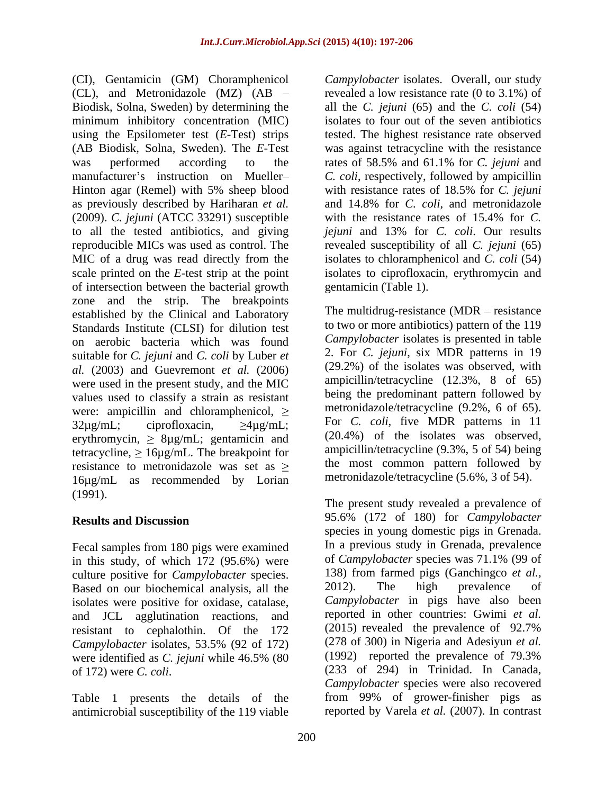(CI), Gentamicin (GM) Choramphenicol (CL), and Metronidazole (MZ) (AB Biodisk, Solna, Sweden) by determining the all the *C. jejuni* (65) and the *C. coli* (54) minimum inhibitory concentration (MIC) using the Epsilometer test (*E*-Test) strips tested. The highest resistance rate observed (AB Biodisk, Solna, Sweden). The *E*-Test was against tetracycline with the resistance was performed according to the rates of 58.5% and 61.1% for C. jejuni and manufacturer's instruction on Mueller- *C. coli*, respectively, followed by ampicillin Hinton agar (Remel) with 5% sheep blood with resistance rates of 18.5% for *C. jejuni* as previously described by Hariharan *et al.* (2009). *C. jejuni* (ATCC 33291) susceptible to all the tested antibiotics, and giving *jejuni* and 13% for *C. coli*. Our results reproducible MICs was used as control. The revealed susceptibility of all *C. jejuni* (65) MIC of a drug was read directly from the isolates to chloramphenicol and *C. coli* (54) scale printed on the *E*-test strip at the point isolates to ciprofloxacin, erythromycin and of intersection between the bacterial growth zone and the strip. The breakpoints established by the Clinical and Laboratory Standards Institute (CLSI) for dilution test on aerobic bacteria which was found suitable for *C. jejuni* and *C. coli* by Luber *et al.* (2003) and Guevremont *et al.* (2006) were used in the present study, and the MIC values used to classify a strain as resistant were: ampicillin and chloramphenicol,  $\geq$  $32\mu\text{g/mL}$ ; ciprofloxacin,  $\geq 4\mu\text{g/mL}$ ; For *C. coli*, five MDR patterns in 11 erythromycin,  $\geq 8\mu g/mL$ ; gentamicin and tetracycline,  $\geq 16\mu\text{g/mL}$ . The breakpoint for resistance to metronidazole was set as  $\geq$ 16µg/mL as recommended by Lorian (1991).

Fecal samples from 180 pigs were examined in this study, of which 172 (95.6%) were culture positive for *Campylobacter* species. 138) from farmed pigs (Ganchingco *et al.*,<br>Based on our biochemical analysis all the 2012). The high prevalence of Based on our biochemical analysis, all the and JCL agglutination reactions, and reported in other countries: Gwimi *et al.*<br>resistant to cenhalothin. Of the 172 (2015) revealed the prevalence of 92.7% resistant to cephalothin. Of the 172 *Campylobacter* isolates, 53.5% (92 of 172)

Table 1 presents the details of the antimicrobial susceptibility of the 119 viable reported by Varela *et al.* (2007). In contrast

*Campylobacter* isolates. Overall, our study revealed a low resistance rate (0 to 3.1%) of isolates to four out of the seven antibiotics rates of 58.5% and 61.1% for *C. jejuni* and and 14.8% for *C. coli*, and metronidazole with the resistance rates of 15.4% for *C.*  gentamicin (Table 1).

The multidrug-resistance  $(MDR - resistance)$ to two or more antibiotics) pattern of the 119 *Campylobacter* isolates is presented in table 2. For *C. jejuni*, six MDR patterns in 19 (29.2%) of the isolates was observed, with ampicillin/tetracycline (12.3%, 8 of 65) being the predominant pattern followed by metronidazole/tetracycline (9.2%, 6 of 65). (20.4%) of the isolates was observed, ampicillin/tetracycline (9.3%, 5 of 54) being the most common pattern followed by metronidazole/tetracycline (5.6%, 3 of 54).

**Results and Discussion** 95.6% (172 of 180) for *Campylobacter* isolates were positive for oxidase, catalase, *Campylobacter* in pigs have also been were identified as *C. jejuni* while 46.5% (80 of 172) were *C. coli*. (233 of 294) in Trinidad. In Canada, The present study revealed a prevalence of species in young domestic pigs in Grenada. In a previous study in Grenada, prevalence of *Campylobacter* species was 71.1% (99 of 138) from farmed pigs (Ganchingco *et al.,* 2012). The high prevalence of reported in other countries: Gwimi *et al.* (2015) revealed the prevalence of 92.7% (278 of 300) in Nigeria and Adesiyun *et al.* (1992) reported the prevalence of 79.3% *Campylobacter* species were also recovered from 99% of grower-finisher pigs as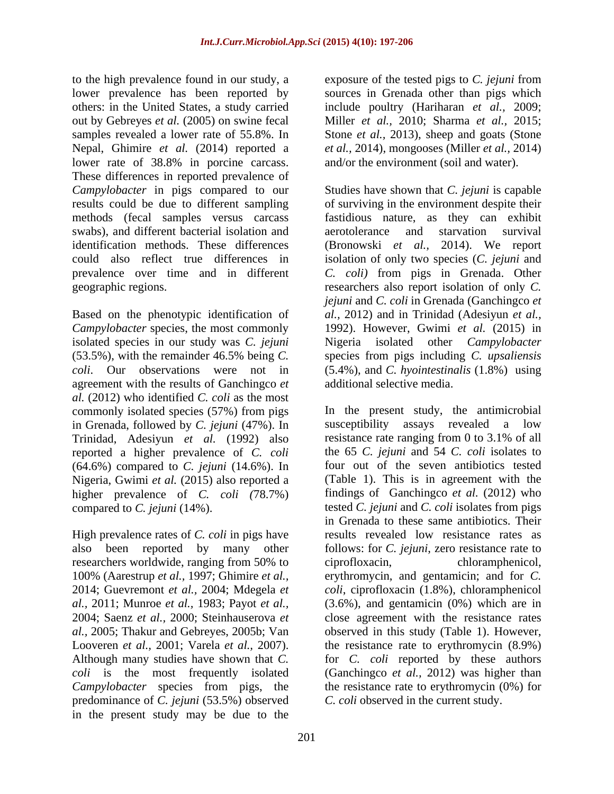to the high prevalence found in our study, a exposure of the tested pigs to *C. jejuni* from lower prevalence has been reported by sources in Grenada other than pigs which others: in the United States, a study carried include poultry (Hariharan *et al.,* 2009; out by Gebreyes *et al.* (2005) on swine fecal Miller *et al.,* 2010; Sharma *et al.,* 2015; samples revealed a lower rate of 55.8%. In Stone *et al.,* 2013), sheep and goats (Stone Nepal, Ghimire *et al.* (2014) reported a lower rate of 38.8% in porcine carcass. These differences in reported prevalence of swabs), and different bacterial isolation and aerotolerance and starvation survival

isolated species in our study was *C. jejuni* agreement with the results of Ganchingco *et al.* (2012) who identified *C. coli* as the most commonly isolated species (57%) from pigs in Grenada, followed by *C. jejuni* (47%). In reported a higher prevalence of *C. coli* (64.6%) compared to *C. jejuni* (14.6%). In Nigeria, Gwimi *et al.* (2015) also reported a higher prevalence of *C. coli (*78.7%)

High prevalence rates of *C. coli* in pigs have researchers worldwide, ranging from 50% to ciprofloxacin, predominance of *C. jejuni* (53.5%) observed in the present study may be due to the

*et al.,* 2014), mongooses (Miller *et al.,* 2014) and/or the environment (soil and water).

*Campylobacter* in pigs compared to our Studies have shown that *C. jejuni* is capable results could be due to different sampling of surviving in the environment despite their methods (fecal samples versus carcass fastidious nature, as they can exhibit identification methods. These differences (Bronowski *et al.,* 2014). We report could also reflect true differences in isolation of only two species (*C. jejuni* and prevalence over time and in different *C. coli)* from pigs in Grenada. Other geographic regions. researchers also report isolation of only *C.*  Based on the phenotypic identification of *al.,* 2012) and in Trinidad (Adesiyun *et al., Campylobacter* species, the most commonly 1992). However, Gwimi *et al.* (2015) in (53.5%), with the remainder 46.5% being *C.*  species from pigs including *C. upsaliensis coli*. Our observations were not in (5.4%), and *C. hyointestinalis* (1.8%) using aerotolerance and starvation *jejuni* and *C. coli* in Grenada (Ganchingco *et*  Nigeria isolated other *Campylobacter* additional selective media.

Trinidad, Adesiyun *et al.* (1992) also resistance rate ranging from 0 to 3.1% of all compared to *C. jejuni* (14%). tested *C. jejuni* and *C. coli* isolates from pigs also been reported by many other follows: for *C. jejuni*, zero resistance rate to 100% (Aarestrup *et al.,* 1997; Ghimire *et al.,* erythromycin, and gentamicin; and for *C.*  2014; Guevremont *et al.,* 2004; Mdegela *et coli*, ciprofloxacin (1.8%), chloramphenicol *al.,* 2011; Munroe *et al.,* 1983; Payot *et al.,* (3.6%), and gentamicin (0%) which are in 2004; Saenz *et al.,* 2000; Steinhauserova *et*  close agreement with the resistance rates *al.,* 2005; Thakur and Gebreyes, 2005b; Van observed in this study (Table 1). However, Looveren *et al.*, 2001; Varela *et al.*, 2007). <br>Although many studies have shown that *C*. *for C. coli* reported by these authors *coli* is the most frequently isolated (Ganchingco *et al.,* 2012) was higher than *Campylobacter* species from pigs, the the resistance rate to erythromycin (0%) for In the present study, the antimicrobial susceptibility assays revealed a low the 65 *C. jejuni* and 54 *C. coli* isolates to four out of the seven antibiotics tested (Table 1). This is in agreement with the findings of Ganchingco *et al.* (2012) who in Grenada to these same antibiotics. Their results revealed low resistance rates as chloramphenicol, the resistance rate to erythromycin (8.9%) for *C. coli* reported by these authors *C. coli* observed in the current study.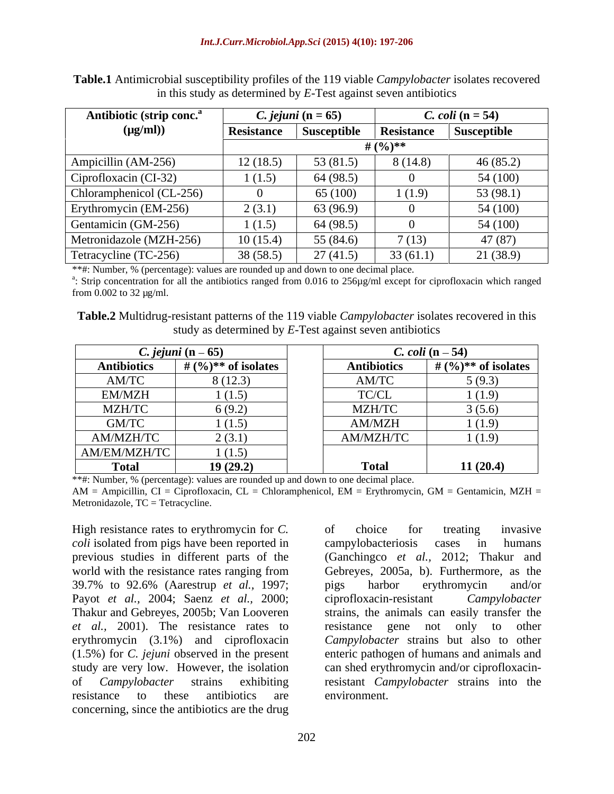| Antibiotic (strip conc.  |            | <i>C. jejuni</i> $(n = 65)$ |                   | <i>C. coli</i> $(n = 54)$ |
|--------------------------|------------|-----------------------------|-------------------|---------------------------|
| $(\mu g/ml))$            | Resistance | Susceptible                 | <b>Resistance</b> | Susceptible               |
|                          |            |                             | # $(9/6)**$       |                           |
| Ampicillin (AM-256)      | 12(18.5)   | 53 $(81.5)$                 | 8(14.8)           | 46(85.2)                  |
| Ciprofloxacin (CI-32)    | 1(1.5)     | 64 (98.5)                   |                   | 54 (100)                  |
| Chloramphenicol (CL-256) |            | 65 (100)                    | (1.9)             | 53(98.1)                  |
| Erythromycin (EM-256)    | 2(3.1)     | 63 (96.9)                   |                   | 54 (100)                  |
| Gentamicin (GM-256)      | 1(1.5)     | 64 (98.5)                   |                   | 54 (100)                  |
| Metronidazole (MZH-256)  | 10(15.4)   | 55 (84.6)                   | 7(13)             | 47(87)                    |
| Tetracycline (TC-256)    | 38(58.5)   | 27(41.5)                    | 33(61.1)          | 21(38.9)                  |

**Table.1** Antimicrobial susceptibility profiles of the 119 viable *Campylobacter* isolates recovered in this study as determined by *E-*Test against seven antibiotics

\*\*#: Number, % (percentage): values are rounded up and down to one decimal place.<br><sup>a</sup>: Strip concentration for all the antibiotics ranged from 0.016 to 256µg/ml except for ciprofloxacin which ranged from 0.002 to 32 µg/ml.

**Table.2** Multidrug-resistant patterns of the 119 viable *Campylobacter* isolates recovered in this study as determined by *E-*Test against seven antibiotics

|                    | C. jejuni $(n-65)$    | C. coli $(n-54)$                                                           |                       |
|--------------------|-----------------------|----------------------------------------------------------------------------|-----------------------|
| <b>Antibiotics</b> | # $(%)**$ of isolates | <b>Antibiotics</b>                                                         | # $(%)**$ of isolates |
| AM/TC              | 8(12.3)               | AM/TC                                                                      | 5(9.3)                |
| EM/MZH             | 1(1.5)                | $\ensuremath{\mathsf{T}\mathsf{C}}\xspace/\ensuremath{\mathsf{CL}}\xspace$ | (1.9)                 |
| MZH/TC             | 6(9.2)                | MZH/TC                                                                     | 3(5.6)                |
| GM/TC              | 1(1.5)                | AM/MZH                                                                     | 1(1.9)                |
| AM/MZH/TC          | 2(3.1)                | AM/MZH/TC                                                                  | (1.9)                 |
| AM/EM/MZH/TC       | 1(1.5)                |                                                                            |                       |
| Р^40               | 19(29.2)              | <b>Total</b>                                                               | 11(20.4)              |

\*\*#: Number, % (percentage): values are rounded up and down to one decimal place.

 $AM = Ampicillin, CI = Ciproflox (CL = Chloramphenicol, EM = Eythromycin, GM = Gentamicin, MZH =$ Metronidazole, TC = Tetracycline.

High resistance rates to erythromycin for *C*. of choice for treating invasive *coli* isolated from pigs have been reported in campylobacteriosis cases in humans 39.7% to 92.6% (Aarestrup *et al.,* 1997; Payot *et al.,* 2004; Saenz *et al.,* 2000; *et al.*, 2001). The resistance rates to resistance gene not only to other resistance to these antibiotics are environment. concerning, since the antibiotics are the drug

previous studies in different parts of the (Ganchingco *et al.,* 2012; Thakur and world with the resistance rates ranging from Gebreyes, 2005a, b). Furthermore, as the Thakur and Gebreyes, 2005b; Van Looveren strains, the animals can easily transfer the erythromycin (3.1%) and ciprofloxacin Campylobacter strains but also to other (1.5%) for *C. jejuni* observed in the present enteric pathogen of humans and animals and study are very low. However, the isolation can shed erythromycin and/or ciprofloxacinof *Campylobacter* strains exhibiting resistant *Campylobacter* strains into the of choice for treating invasive campylobacteriosis cases in humans pigs harbor erythromycin and/or ciprofloxacin-resistant *Campylobacter* resistance gene not only environment.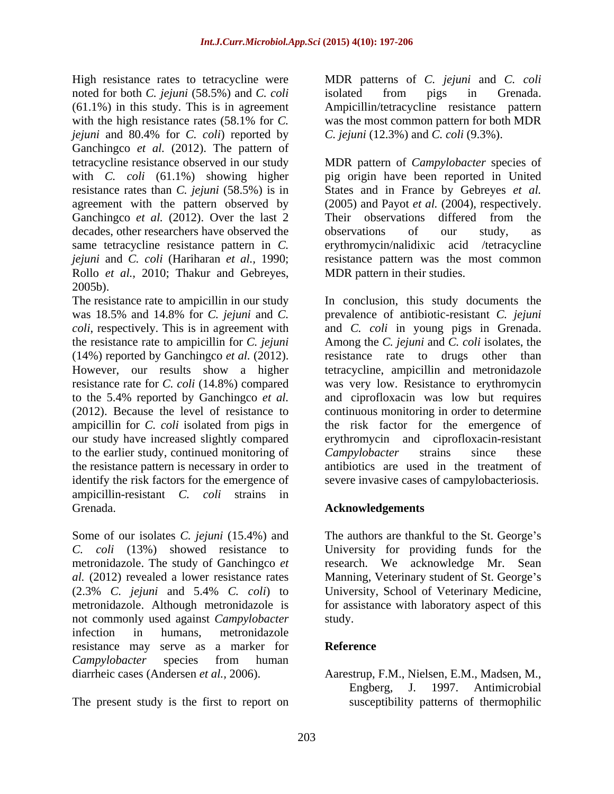noted for both *C. jejuni* (58.5%) and *C. coli*  $(61.1\%)$  in this study. This is in agreement *jejuni* and 80.4% for *C. coli*) reported by Ganchingco *et al.* (2012). The pattern of Ganchingco *et al.* (2012). Over the last 2 Their observations differed from the decades, other researchers have observed the observations of our study, as Rollo *et al.,* 2010; Thakur and Gebreyes, 2005b).

to the earlier study, continued monitoring of Campylobacter strains since these the resistance pattern is necessary in order to identify the risk factors for the emergence of ampicillin-resistant *C. coli* strains in Grenada. **Acknowledgements** 

Some of our isolates *C. jejuni* (15.4%) and The authors are thankful to the St. George's *C. coli* (13%) showed resistance to University for providing funds for the metronidazole. The study of Ganchingco *et*  research. We acknowledge Mr. Sean al. (2012) revealed a lower resistance rates Manning, Veterinary student of St. George's (2.3% *C. jejuni* and 5.4% *C. coli*) to University, School of Veterinary Medicine, metronidazole. Although metronidazole is for assistance with laboratory aspect of this not commonly used against *Campylobacter* infection in humans, metronidazole resistance may serve as a marker for *Campylobacter* species from human

High resistance rates to tetracycline were MDR patterns of *C. jejuni* and *C. coli* with the high resistance rates (58.1% for *C*. was the most common pattern for both MDR isolated from pigs in Grenada. Ampicillin/tetracycline resistance pattern was the most common pattern for both MDR *C. jejuni* (12.3%) and *C. coli* (9.3%).

tetracycline resistance observed in our study MDR pattern of*Campylobacter* species of with *C. coli* (61.1%) showing higher pig origin have been reported in United resistance rates than *C. jejuni* (58.5%) is in States and in France by Gebreyes *et al.* agreement with the pattern observed by (2005) and Payot *et al.* (2004), respectively. same tetracycline resistance pattern in *C.*  erythromycin/nalidixic acid /tetracycline *jejuni* and *C. coli* (Hariharan *et al.,* 1990; resistance pattern was the most common Their observations differed from the observations of our study, as MDR pattern in their studies.

The resistance rate to ampicillin in our study In conclusion, this study documents the was 18.5% and 14.8% for *C. jejuni* and *C.*  prevalence of antibiotic-resistant *C. jejuni coli*, respectively. This is in agreement with and *C. coli* in young pigs in Grenada. the resistance rate to ampicillin for *C. jejuni* Among the *C. jejuni* and *C. coli* isolates, the (14%) reported by Ganchingco *et al.* (2012). <br>However, our results show a higher tetracycline, ampicillin and metronidazole resistance rate for *C. coli* (14.8%) compared was very low. Resistance to erythromycin to the 5.4% reported by Ganchingco *et al.* and ciprofloxacin was low but requires (2012). Because the level of resistance to continuous monitoring in order to determine ampicillin for *C. coli* isolated from pigs in the risk factor for the emergence of our study have increased slightly compared erythromycin and ciprofloxacin-resistant resistance rate to drugs other than tetracycline, ampicillin and metronidazole *Campylobacter* strains since these antibiotics are used in the treatment of severe invasive cases of campylobacteriosis.

## **Acknowledgements**

study.

### **Reference**

diarrheic cases (Andersen *et al.*, 2006). Aarestrup, F.M., Nielsen, E.M., Madsen, M.,<br>Engberg, J. 1997. Antimicrobial<br>The present study is the first to report on susceptibility patterns of thermophilic Aarestrup, F.M., Nielsen, E.M., Madsen, M., Engberg, J. 1997. Antimicrobial susceptibility patterns of thermophilic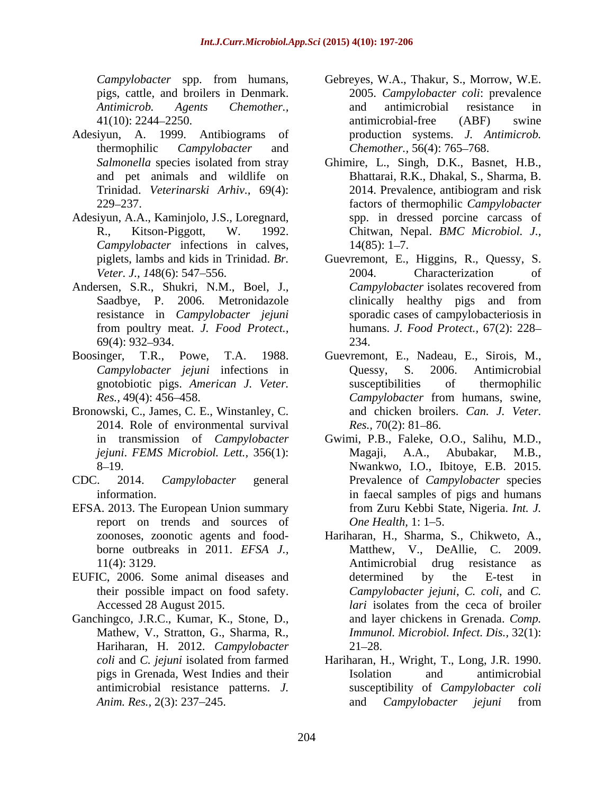- Adesiyun, A. 1999. Antibiograms of and pet animals and wildlife on
- Adesiyun, A.A., Kaminjolo, J.S., Loregnard, *Campylobacter* infections in calves,
- Andersen, S.R., Shukri, N.M., Boel, J., Campylobacter isolates recovered from
- 
- Bronowski, C., James, C. E., Winstanley, C. 2014. Role of environmental survival  $Res.$ , 70(2): 81–86.
- 
- EFSA. 2013. The European Union summary report on trends and sources of *One Health*, 1:1–5.
- EUFIC, 2006. Some animal diseases and and determined by the E-test in their possible impact on food safety.
- Ganchingco, J.R.C., Kumar, K., Stone, D., Hariharan, H. 2012. *Campylobacter*
- *Campylobacter* spp. from humans, Gebreyes, W.A., Thakur, S., Morrow, W.E. pigs, cattle, and broilers in Denmark. 2005. *Campylobacter coli*: prevalence *Antimicrob. Agents Chemother.,* 41(10): 2244–2250. **antimicrobial-free** (ABF) swine thermophilic *Campylobacter* and *Chemother.,* 56(4): 765 768. and antimicrobial resistance in antimicrobial-free (ABF) swine production systems. *J. Antimicrob.*
- *Salmonella* species isolated from stray Ghimire, L., Singh, D.K., Basnet, H.B., Trinidad. *Veterinarski Arhiv.,* 69(4): 229 237. factors of thermophilic *Campylobacter* R., Kitson-Piggott, W. 1992. Chitwan, Nepal. *BMC Microbiol. J.,* Bhattarai, R.K., Dhakal, S., Sharma, B. 2014. Prevalence, antibiogram and risk spp. in dressed porcine carcass of  $14(85): 1-7.$
- piglets, lambs and kids in Trinidad. *Br.*  Guevremont, E., Higgins, R., Quessy, S. *Veter. J., 1*48(6): 547–556. 2004. Characterization of Saadbye, P. 2006. Metronidazole clinically healthy pigs and from resistance in *Campylobacter jejuni* sporadic cases of campylobacteriosis in from poultry meat. *J. Food Protect.,* humans. *J. Food Protect.,* 67(2): 228 69(4): 932 934. 2004. Characterization of *Campylobacter* isolates recovered from clinically healthy pigs and from 234.
- Boosinger, T.R., Powe, T.A. 1988. Guevremont, E., Nadeau, E., Sirois, M., *Campylobacter jejuni* infections in gnotobiotic pigs. *American J. Veter. Res.,* 49(4): 456–458. *Campylobacter* from humans, swine, Quessy, S. 2006. Antimicrobial susceptibilities of thermophilic *Campylobacter* from humans, swine, and chicken broilers. *Can. J. Veter.*
- in transmission of *Campylobacter jejuni*. *FEMS Microbiol. Lett.,* 356(1): 8 19. Nwankwo, I.O., Ibitoye, E.B. 2015. CDC. 2014. *Campylobacter* general Prevalence of *Campylobacter* species information. in faecal samples of pigs and humans *Res., 70(2): 81–86.*<br>Gwimi, P.B., Faleke, O.O., Salihu, M.D., Magaji, A.A., Abubakar, from Zuru Kebbi State, Nigeria. *Int. J. One Health*, 1: 1–5.
	- zoonoses, zoonotic agents and food- Hariharan, H., Sharma, S., Chikweto, A., borne outbreaks in 2011. *EFSA J.,* Matthew, V., DeAllie, C. 2009. 11(4): 3129. Antimicrobial drug resistance as Accessed 28 August 2015. *Iari* isolates from the ceca of broiler Mathew, V., Stratton, G., Sharma, R., *Immunol. Microbiol. Infect. Dis.,* 32(1): Antimicrobial drug resistance as determined by the E-test in *Campylobacter jejuni*, *C. coli*, and *C. lari* isolates from the ceca of broiler and layer chickens in Grenada. *Comp.*   $21 - 28.$
	- *coli* and *C. jejuni* isolated from farmed Hariharan, H., Wright, T., Long, J.R. 1990. pigs in Grenada, West Indies and their antimicrobial resistance patterns. *J.*  susceptibility of *Campylobacter coli Anim. Res.,* 2(3): 237 245. and *Campylobacter jejuni* fromIsolation and antimicrobial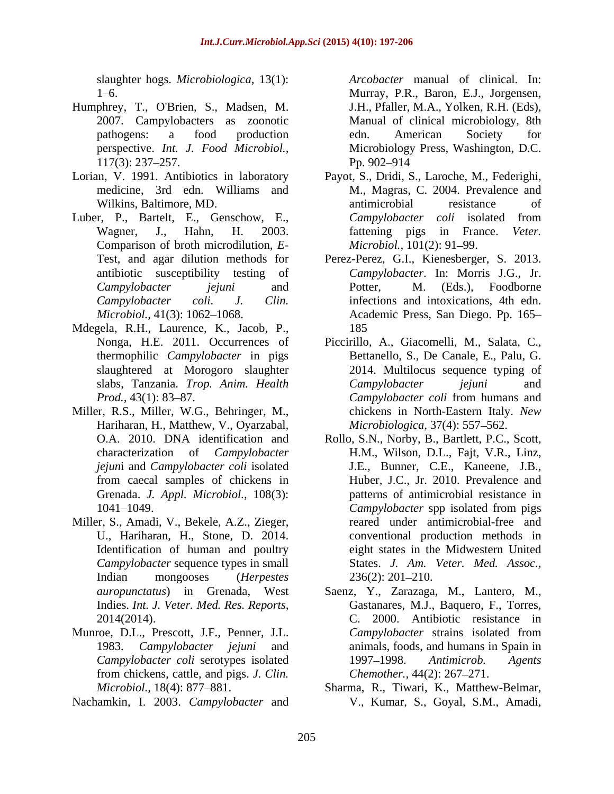slaughter hogs. *Microbiologica,* 13(1):

- Humphrey, T., O'Brien, S., Madsen, M.
- 
- Luber, P., Bartelt, E., Genschow, E., Campylobacter coli isolated from Comparison of broth microdilution, *E* antibiotic susceptibility testing of
- Mdegela, R.H., Laurence, K., Jacob, P., slaughtered at Morogoro slaughter
- Miller, R.S., Miller, W.G., Behringer, M., Hariharan, H., Matthew, V., Oyarzabal,
- Miller, S., Amadi, V., Bekele, A.Z., Zieger, Identification of human and poultry *Campylobacter* sequence types in small
- Munroe, D.L., Prescott, J.F., Penner, J.L. Campylobacter strains isolated from from chickens, cattle, and pigs. *J. Clin.*
- Nachamkin, I. 2003. *Campylobacter* and

1 6. Murray, P.R., Baron, E.J., Jorgensen, 2007. Campylobacters as zoonotic Manual of clinical microbiology, 8th pathogens: a food production edn. American Society for perspective. *Int. J. Food Microbiol.*, Microbiology Press, Washington, D.C. 117(3): 237–257. Pp. 902–914 *Arcobacter* manual of clinical. In: J.H., Pfaller, M.A., Yolken, R.H. (Eds), edn. American Society for Pp. 902–914

- Lorian, V. 1991. Antibiotics in laboratory Payot, S., Dridi, S., Laroche, M., Federighi, medicine, 3rd edn. Williams and M., Magras, C. 2004. Prevalence and Wilkins, Baltimore, MD. The antimicrobial estimate of the set of the set of the set of the set of the set of the set of the set of the set of the set of the set of the set of the set of the set of the set of the set of the Wagner, J., Hahn, H. 2003. fattening pigs in France. *Veter.*  antimicrobial resistance of *Campylobacter coli* isolated from *Microbiol.,* 101(2): 91–99.
	- Test, and agar dilution methods for Perez-Perez, G.I., Kienesberger, S. 2013. *Campylobacter jejuni* and *Campylobacter coli*. *J. Clin.* infections and intoxications, 4th edn. *Microbiol.,* 41(3): 1062–1068. **Academic Press, San Diego. Pp. 165–** *Campylobacter*. In: Morris J.G., Jr. Potter, M. (Eds.), Foodborne 185
	- Nonga, H.E. 2011. Occurrences of Piccirillo, A., Giacomelli, M., Salata, C., thermophilic *Campylobacter* in pigs Bettanello, S., De Canale, E., Palu, G. slabs, Tanzania. *Trop. Anim. Health Prod.,* 43(1): 83–87. *Campylobacter coli* from humans and 2014. Multilocus sequence typing of *Campylobacter jejuni* and *Campylobacter coli* from humans and chickens in North-Eastern Italy. *New Microbiologica,* 37(4): 557–562.
	- O.A. 2010. DNA identification and Rollo, S.N., Norby, B., Bartlett, P.C., Scott, characterization of *Campylobacter*  H.M., Wilson, D.L., Fajt, V.R., Linz, *jejun*i and *Campylobacter coli* isolated J.E., Bunner, C.E., Kaneene, J.B., from caecal samples of chickens in Huber, J.C., Jr. 2010. Prevalence and Grenada. *J. Appl. Microbiol.,* 108(3): patterns of antimicrobial resistance in 1041 1049. *Campylobacter* spp isolated from pigs U., Hariharan, H., Stone, D. 2014. conventional production methods in Indian mongooses (*Herpestes*  reared under antimicrobial-free and eight states in the Midwestern United States. *J. Am. Veter. Med. Assoc.,*  $236(2): 201 - 210.$
	- *auropunctatus*) in Grenada, West Saenz, Y., Zarazaga, M., Lantero, M., Indies. *Int. J. Veter. Med. Res. Reports,* Gastanares, M.J., Baquero, F., Torres, 2014(2014). C. 2000. Antibiotic resistance in 1983. *Campylobacter jejuni* and animals, foods, and humans in Spain in *Campylobacter coli* serotypes isolated 1997–1998. Antimicrob. Agents *Campylobacter* strains isolated from 1997 1998. *Antimicrob. Agents Chemother., 44(2): 267-271.*
	- *Microbiol.,* 18(4): 877 881. Sharma, R., Tiwari, K., Matthew-Belmar, V., Kumar, S., Goyal, S.M., Amadi,